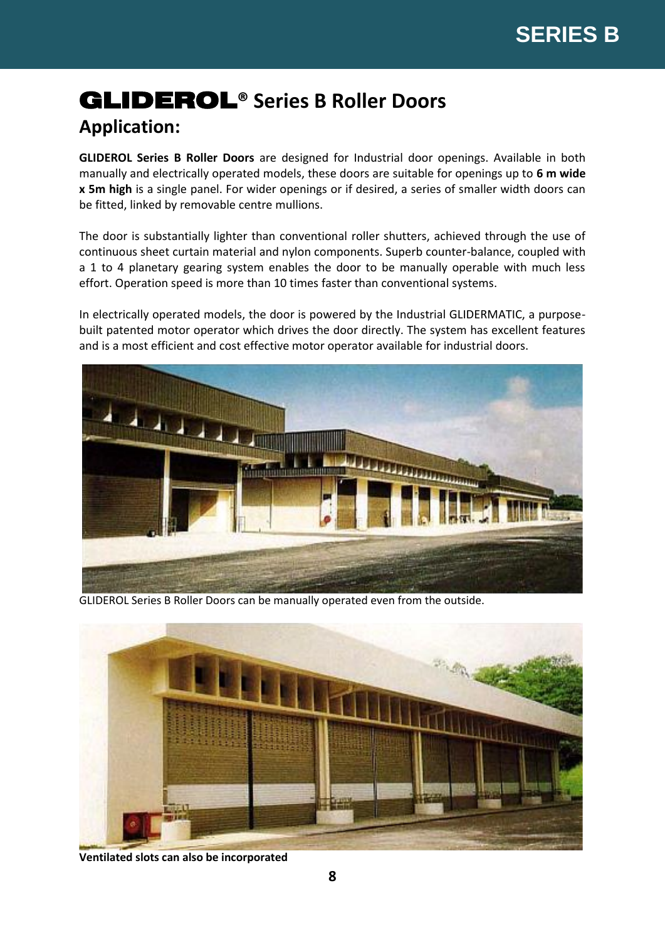# GLIDEROL**® Series B Roller Doors**

# **Application:**

**GLIDEROL Series B Roller Doors** are designed for Industrial door openings. Available in both manually and electrically operated models, these doors are suitable for openings up to **6 m wide x 5m high** is a single panel. For wider openings or if desired, a series of smaller width doors can be fitted, linked by removable centre mullions.

The door is substantially lighter than conventional roller shutters, achieved through the use of continuous sheet curtain material and nylon components. Superb counter-balance, coupled with a 1 to 4 planetary gearing system enables the door to be manually operable with much less effort. Operation speed is more than 10 times faster than conventional systems.

In electrically operated models, the door is powered by the Industrial GLIDERMATIC, a purposebuilt patented motor operator which drives the door directly. The system has excellent features and is a most efficient and cost effective motor operator available for industrial doors.



GLIDEROL Series B Roller Doors can be manually operated even from the outside.



**Ventilated slots can also be incorporated**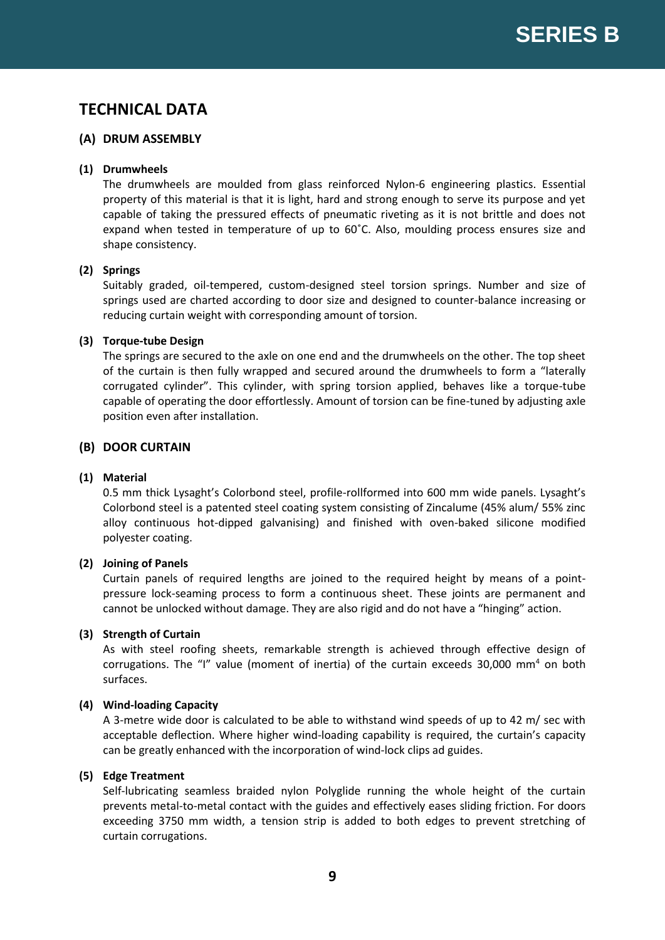### **TECHNICAL DATA**

#### **(A) DRUM ASSEMBLY**

#### **(1) Drumwheels**

The drumwheels are moulded from glass reinforced Nylon-6 engineering plastics. Essential property of this material is that it is light, hard and strong enough to serve its purpose and yet capable of taking the pressured effects of pneumatic riveting as it is not brittle and does not expand when tested in temperature of up to 60˚C. Also, moulding process ensures size and shape consistency.

#### **(2) Springs**

Suitably graded, oil-tempered, custom-designed steel torsion springs. Number and size of springs used are charted according to door size and designed to counter-balance increasing or reducing curtain weight with corresponding amount of torsion.

#### **(3) Torque-tube Design**

The springs are secured to the axle on one end and the drumwheels on the other. The top sheet of the curtain is then fully wrapped and secured around the drumwheels to form a "laterally corrugated cylinder". This cylinder, with spring torsion applied, behaves like a torque-tube capable of operating the door effortlessly. Amount of torsion can be fine-tuned by adjusting axle position even after installation.

#### **(B) DOOR CURTAIN**

#### **(1) Material**

0.5 mm thick Lysaght's Colorbond steel, profile-rollformed into 600 mm wide panels. Lysaght's Colorbond steel is a patented steel coating system consisting of Zincalume (45% alum/ 55% zinc alloy continuous hot-dipped galvanising) and finished with oven-baked silicone modified polyester coating.

#### **(2) Joining of Panels**

Curtain panels of required lengths are joined to the required height by means of a pointpressure lock-seaming process to form a continuous sheet. These joints are permanent and cannot be unlocked without damage. They are also rigid and do not have a "hinging" action.

#### **(3) Strength of Curtain**

As with steel roofing sheets, remarkable strength is achieved through effective design of corrugations. The "I" value (moment of inertia) of the curtain exceeds 30,000 mm<sup>4</sup> on both surfaces.

#### **(4) Wind-loading Capacity**

A 3-metre wide door is calculated to be able to withstand wind speeds of up to 42 m/ sec with acceptable deflection. Where higher wind-loading capability is required, the curtain's capacity can be greatly enhanced with the incorporation of wind-lock clips ad guides.

#### **(5) Edge Treatment**

Self-lubricating seamless braided nylon Polyglide running the whole height of the curtain prevents metal-to-metal contact with the guides and effectively eases sliding friction. For doors exceeding 3750 mm width, a tension strip is added to both edges to prevent stretching of curtain corrugations.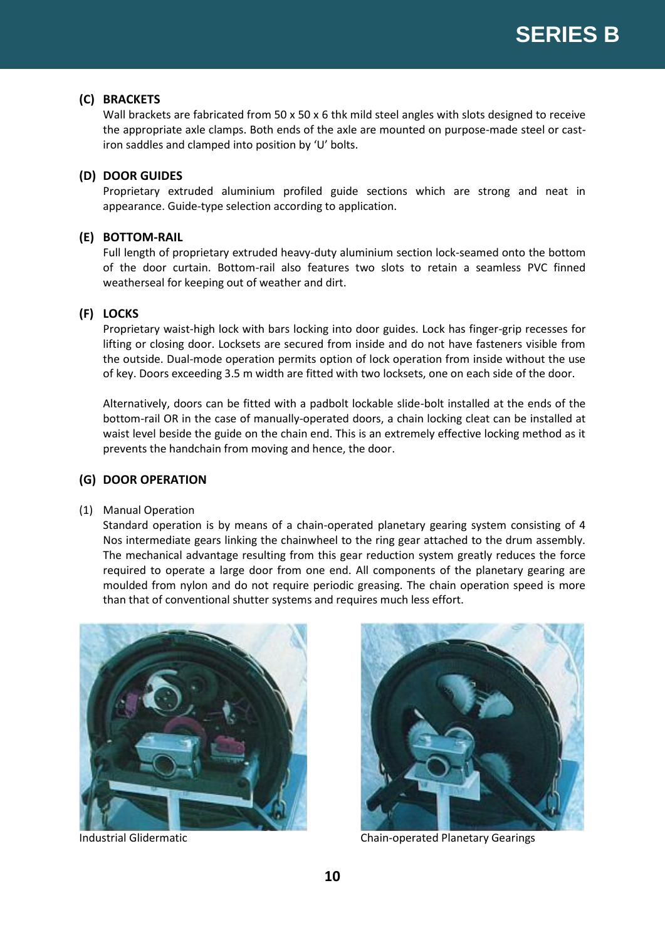#### **(C) BRACKETS**

Wall brackets are fabricated from 50 x 50 x 6 thk mild steel angles with slots designed to receive the appropriate axle clamps. Both ends of the axle are mounted on purpose-made steel or castiron saddles and clamped into position by 'U' bolts.

#### **(D) DOOR GUIDES**

Proprietary extruded aluminium profiled guide sections which are strong and neat in appearance. Guide-type selection according to application.

#### **(E) BOTTOM-RAIL**

Full length of proprietary extruded heavy-duty aluminium section lock-seamed onto the bottom of the door curtain. Bottom-rail also features two slots to retain a seamless PVC finned weatherseal for keeping out of weather and dirt.

#### **(F) LOCKS**

Proprietary waist-high lock with bars locking into door guides. Lock has finger-grip recesses for lifting or closing door. Locksets are secured from inside and do not have fasteners visible from the outside. Dual-mode operation permits option of lock operation from inside without the use of key. Doors exceeding 3.5 m width are fitted with two locksets, one on each side of the door.

Alternatively, doors can be fitted with a padbolt lockable slide-bolt installed at the ends of the bottom-rail OR in the case of manually-operated doors, a chain locking cleat can be installed at waist level beside the guide on the chain end. This is an extremely effective locking method as it prevents the handchain from moving and hence, the door.

#### **(G) DOOR OPERATION**

#### (1) Manual Operation

Standard operation is by means of a chain-operated planetary gearing system consisting of 4 Nos intermediate gears linking the chainwheel to the ring gear attached to the drum assembly. The mechanical advantage resulting from this gear reduction system greatly reduces the force required to operate a large door from one end. All components of the planetary gearing are moulded from nylon and do not require periodic greasing. The chain operation speed is more than that of conventional shutter systems and requires much less effort.





Industrial Glidermatic **Chain-operated Planetary Gearings**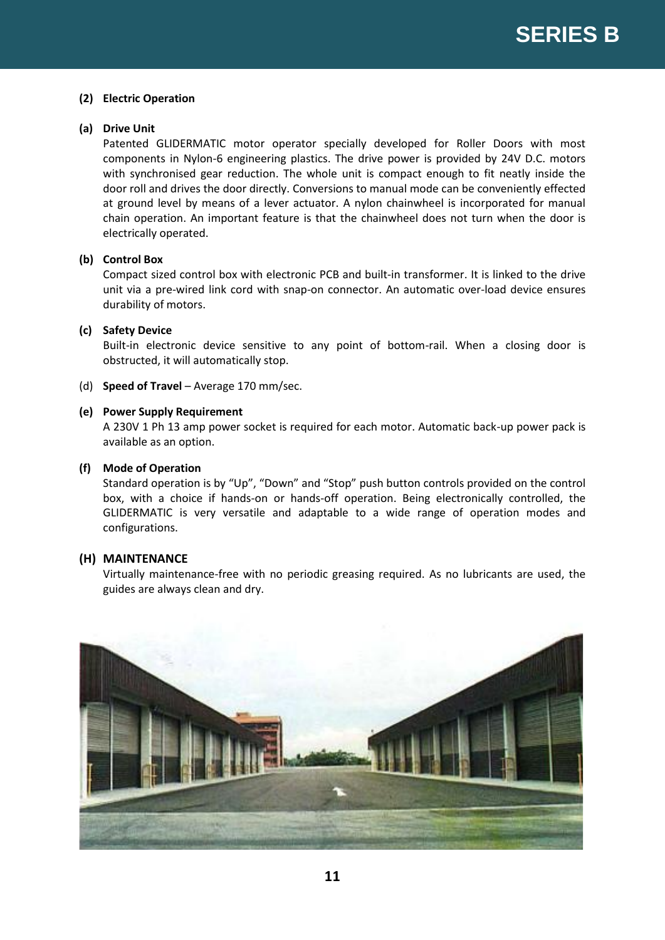#### **(2) Electric Operation**

#### **(a) Drive Unit**

Patented GLIDERMATIC motor operator specially developed for Roller Doors with most components in Nylon-6 engineering plastics. The drive power is provided by 24V D.C. motors with synchronised gear reduction. The whole unit is compact enough to fit neatly inside the door roll and drives the door directly. Conversions to manual mode can be conveniently effected at ground level by means of a lever actuator. A nylon chainwheel is incorporated for manual chain operation. An important feature is that the chainwheel does not turn when the door is electrically operated.

#### **(b) Control Box**

Compact sized control box with electronic PCB and built-in transformer. It is linked to the drive unit via a pre-wired link cord with snap-on connector. An automatic over-load device ensures durability of motors.

#### **(c) Safety Device**

Built-in electronic device sensitive to any point of bottom-rail. When a closing door is obstructed, it will automatically stop.

(d) **Speed of Travel** – Average 170 mm/sec.

#### **(e) Power Supply Requirement**

A 230V 1 Ph 13 amp power socket is required for each motor. Automatic back-up power pack is available as an option.

#### **(f) Mode of Operation**

Standard operation is by "Up", "Down" and "Stop" push button controls provided on the control box, with a choice if hands-on or hands-off operation. Being electronically controlled, the GLIDERMATIC is very versatile and adaptable to a wide range of operation modes and configurations.

#### **(H) MAINTENANCE**

Virtually maintenance-free with no periodic greasing required. As no lubricants are used, the guides are always clean and dry.

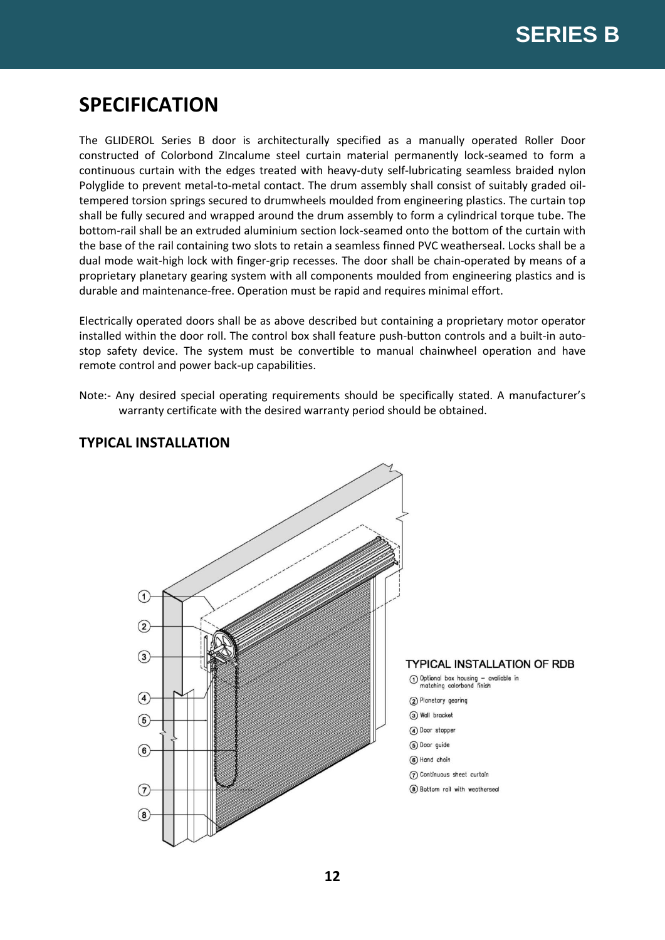# **SPECIFICATION**

The GLIDEROL Series B door is architecturally specified as a manually operated Roller Door constructed of Colorbond ZIncalume steel curtain material permanently lock-seamed to form a continuous curtain with the edges treated with heavy-duty self-lubricating seamless braided nylon Polyglide to prevent metal-to-metal contact. The drum assembly shall consist of suitably graded oiltempered torsion springs secured to drumwheels moulded from engineering plastics. The curtain top shall be fully secured and wrapped around the drum assembly to form a cylindrical torque tube. The bottom-rail shall be an extruded aluminium section lock-seamed onto the bottom of the curtain with the base of the rail containing two slots to retain a seamless finned PVC weatherseal. Locks shall be a dual mode wait-high lock with finger-grip recesses. The door shall be chain-operated by means of a proprietary planetary gearing system with all components moulded from engineering plastics and is durable and maintenance-free. Operation must be rapid and requires minimal effort.

Electrically operated doors shall be as above described but containing a proprietary motor operator installed within the door roll. The control box shall feature push-button controls and a built-in autostop safety device. The system must be convertible to manual chainwheel operation and have remote control and power back-up capabilities.

Note:- Any desired special operating requirements should be specifically stated. A manufacturer's warranty certificate with the desired warranty period should be obtained.



#### **TYPICAL INSTALLATION**